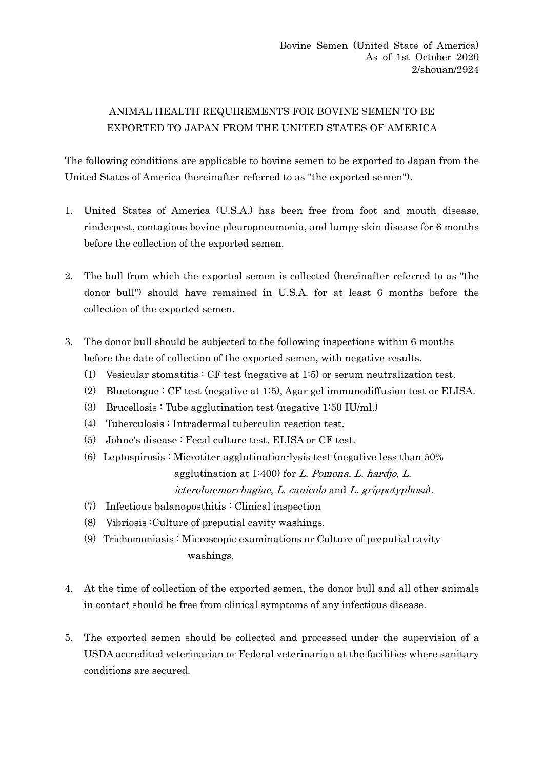## ANIMAL HEALTH REQUIREMENTS FOR BOVINE SEMEN TO BE EXPORTED TO JAPAN FROM THE UNITED STATES OF AMERICA

The following conditions are applicable to bovine semen to be exported to Japan from the United States of America (hereinafter referred to as "the exported semen").

- 1. United States of America (U.S.A.) has been free from foot and mouth disease, rinderpest, contagious bovine pleuropneumonia, and lumpy skin disease for 6 months before the collection of the exported semen.
- 2. The bull from which the exported semen is collected (hereinafter referred to as "the donor bull") should have remained in U.S.A. for at least 6 months before the collection of the exported semen.
- 3. The donor bull should be subjected to the following inspections within 6 months before the date of collection of the exported semen, with negative results.
	- (1) Vesicular stomatitis : CF test (negative at 1:5) or serum neutralization test.
	- (2) Bluetongue : CF test (negative at 1:5), Agar gel immunodiffusion test or ELISA.
	- (3) Brucellosis : Tube agglutination test (negative 1:50 IU/ml.)
	- (4) Tuberculosis : Intradermal tuberculin reaction test.
	- (5) Johne's disease : Fecal culture test, ELISA or CF test.
	- (6) Leptospirosis : Microtiter agglutination-lysis test (negative less than 50% agglutination at 1:400) for  $L$ . Pomona,  $L$ . hardjo,  $L$ . icterohaemorrhagiae, L. canicola and L. grippotyphosa).
	- (7) Infectious balanoposthitis : Clinical inspection
	- (8) Vibriosis :Culture of preputial cavity washings.
	- (9) Trichomoniasis : Microscopic examinations or Culture of preputial cavity washings.
- 4. At the time of collection of the exported semen, the donor bull and all other animals in contact should be free from clinical symptoms of any infectious disease.
- 5. The exported semen should be collected and processed under the supervision of a USDA accredited veterinarian or Federal veterinarian at the facilities where sanitary conditions are secured.